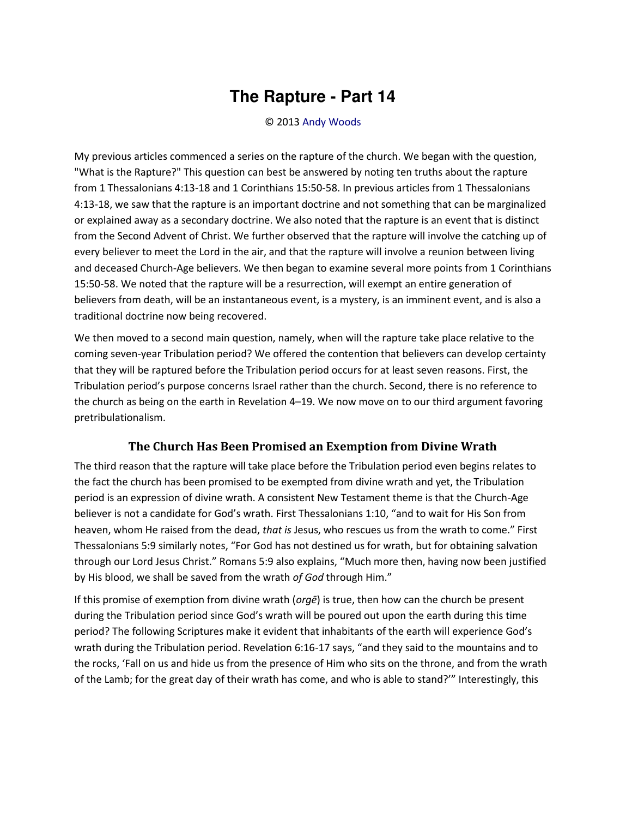## The Rapture - Part 14

## © 2013 Andy Woods

My previous articles commenced a series on the rapture of the church. We began with the question, "What is the Rapture?" This question can best be answered by noting ten truths about the rapture from 1 Thessalonians 4:13-18 and 1 Corinthians 15:50-58. In previous articles from 1 Thessalonians 4:13-18, we saw that the rapture is an important doctrine and not something that can be marginalized or explained away as a secondary doctrine. We also noted that the rapture is an event that is distinct from the Second Advent of Christ. We further observed that the rapture will involve the catching up of every believer to meet the Lord in the air, and that the rapture will involve a reunion between living and deceased Church-Age believers. We then began to examine several more points from 1 Corinthians 15:50-58. We noted that the rapture will be a resurrection, will exempt an entire generation of believers from death, will be an instantaneous event, is a mystery, is an imminent event, and is also a traditional doctrine now being recovered.

We then moved to a second main question, namely, when will the rapture take place relative to the coming seven-year Tribulation period? We offered the contention that believers can develop certainty that they will be raptured before the Tribulation period occurs for at least seven reasons. First, the Tribulation period's purpose concerns Israel rather than the church. Second, there is no reference to the church as being on the earth in Revelation 4-19. We now move on to our third argument favoring pretribulationalism.

## The Church Has Been Promised an Exemption from Divine Wrath

The third reason that the rapture will take place before the Tribulation period even begins relates to the fact the church has been promised to be exempted from divine wrath and yet, the Tribulation period is an expression of divine wrath. A consistent New Testament theme is that the Church-Age believer is not a candidate for God's wrath. First Thessalonians 1:10, "and to wait for His Son from heaven, whom He raised from the dead, that is Jesus, who rescues us from the wrath to come." First Thessalonians 5:9 similarly notes, "For God has not destined us for wrath, but for obtaining salvation through our Lord Jesus Christ." Romans 5:9 also explains, "Much more then, having now been justified by His blood, we shall be saved from the wrath of God through Him."

If this promise of exemption from divine wrath ( $org\bar{e}$ ) is true, then how can the church be present during the Tribulation period since God's wrath will be poured out upon the earth during this time period? The following Scriptures make it evident that inhabitants of the earth will experience God's wrath during the Tribulation period. Revelation 6:16-17 says, "and they said to the mountains and to the rocks, 'Fall on us and hide us from the presence of Him who sits on the throne, and from the wrath of the Lamb; for the great day of their wrath has come, and who is able to stand?" Interestingly, this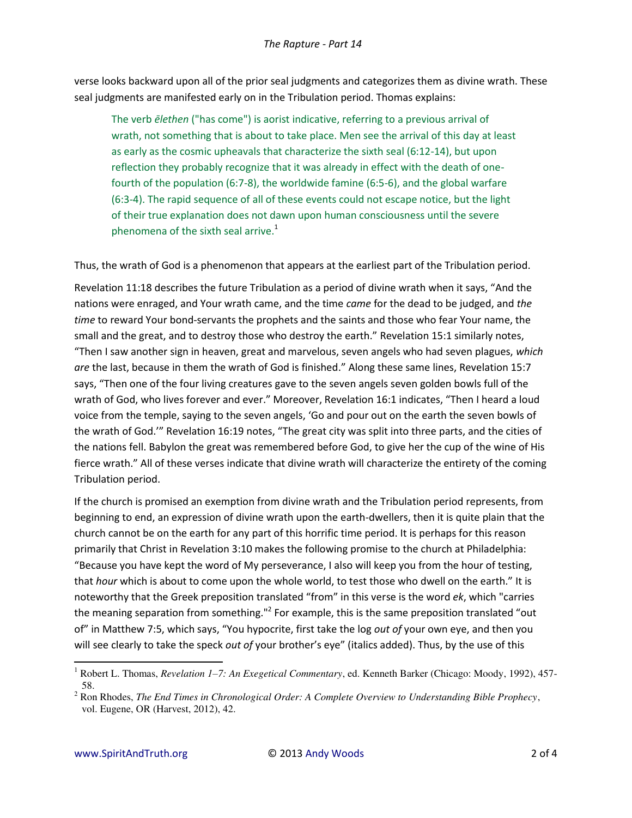verse looks backward upon all of the prior seal judgments and categorizes them as divine wrath. These seal judgments are manifested early on in the Tribulation period. Thomas explains:

The verb elethen ("has come") is aorist indicative, referring to a previous arrival of wrath, not something that is about to take place. Men see the arrival of this day at least as early as the cosmic upheavals that characterize the sixth seal (6:12-14), but upon reflection they probably recognize that it was already in effect with the death of onefourth of the population (6:7-8), the worldwide famine (6:5-6), and the global warfare (6:3-4). The rapid sequence of all of these events could not escape notice, but the light of their true explanation does not dawn upon human consciousness until the severe phenomena of the sixth seal arrive.<sup>1</sup>

Thus, the wrath of God is a phenomenon that appears at the earliest part of the Tribulation period.

Revelation 11:18 describes the future Tribulation as a period of divine wrath when it says, "And the nations were enraged, and Your wrath came, and the time came for the dead to be judged, and the time to reward Your bond-servants the prophets and the saints and those who fear Your name, the small and the great, and to destroy those who destroy the earth." Revelation 15:1 similarly notes, "Then I saw another sign in heaven, great and marvelous, seven angels who had seven plagues, which are the last, because in them the wrath of God is finished." Along these same lines, Revelation 15:7 says, "Then one of the four living creatures gave to the seven angels seven golden bowls full of the wrath of God, who lives forever and ever." Moreover, Revelation 16:1 indicates, "Then I heard a loud voice from the temple, saying to the seven angels, 'Go and pour out on the earth the seven bowls of the wrath of God."" Revelation 16:19 notes, "The great city was split into three parts, and the cities of the nations fell. Babylon the great was remembered before God, to give her the cup of the wine of His fierce wrath." All of these verses indicate that divine wrath will characterize the entirety of the coming Tribulation period.

If the church is promised an exemption from divine wrath and the Tribulation period represents, from beginning to end, an expression of divine wrath upon the earth-dwellers, then it is quite plain that the church cannot be on the earth for any part of this horrific time period. It is perhaps for this reason primarily that Christ in Revelation 3:10 makes the following promise to the church at Philadelphia: "Because you have kept the word of My perseverance, I also will keep you from the hour of testing, that hour which is about to come upon the whole world, to test those who dwell on the earth." It is noteworthy that the Greek preposition translated "from" in this verse is the word ek, which "carries the meaning separation from something."<sup>2</sup> For example, this is the same preposition translated "out of" in Matthew 7:5, which says, "You hypocrite, first take the log out of your own eye, and then you will see clearly to take the speck out of your brother's eye" (italics added). Thus, by the use of this

<sup>&</sup>lt;sup>1</sup> Robert L. Thomas, Revelation 1-7: An Exegetical Commentary, ed. Kenneth Barker (Chicago: Moody, 1992), 457-58.

 $2$  Ron Rhodes, The End Times in Chronological Order: A Complete Overview to Understanding Bible Prophecy, vol. Eugene, OR (Harvest, 2012), 42.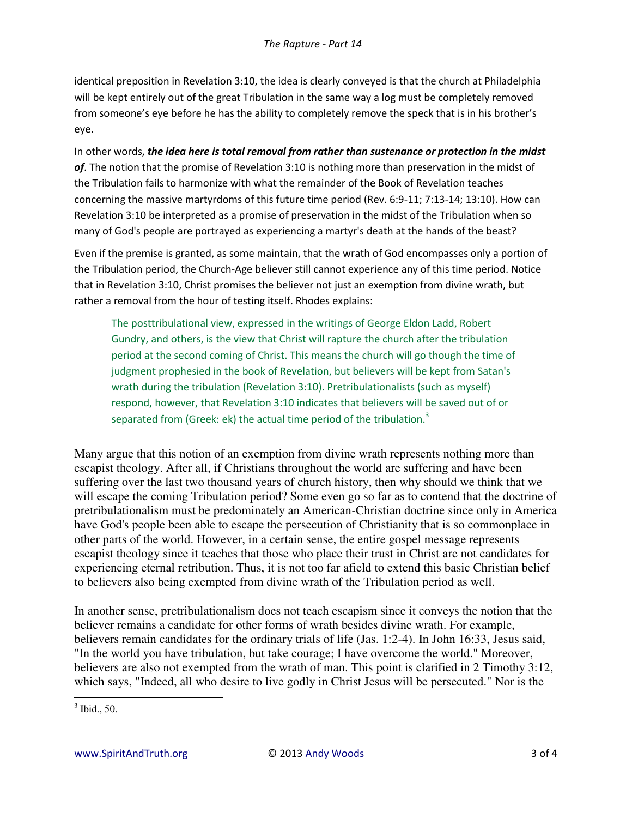identical preposition in Revelation 3:10, the idea is clearly conveyed is that the church at Philadelphia will be kept entirely out of the great Tribulation in the same way a log must be completely removed from someone's eye before he has the ability to completely remove the speck that is in his brother's eye.

In other words, *the idea here is total removal from rather than sustenance or protection in the midst of*. The notion that the promise of Revelation 3:10 is nothing more than preservation in the midst of the Tribulation fails to harmonize with what the remainder of the Book of Revelation teaches concerning the massive martyrdoms of this future time period (Rev. 6:9-11; 7:13-14; 13:10). How can Revelation 3:10 be interpreted as a promise of preservation in the midst of the Tribulation when so many of God's people are portrayed as experiencing a martyr's death at the hands of the beast?

Even if the premise is granted, as some maintain, that the wrath of God encompasses only a portion of the Tribulation period, the Church-Age believer still cannot experience any of this time period. Notice that in Revelation 3:10, Christ promises the believer not just an exemption from divine wrath, but rather a removal from the hour of testing itself. Rhodes explains:

The posttribulational view, expressed in the writings of George Eldon Ladd, Robert Gundry, and others, is the view that Christ will rapture the church after the tribulation period at the second coming of Christ. This means the church will go though the time of judgment prophesied in the book of Revelation, but believers will be kept from Satan's wrath during the tribulation (Revelation 3:10). Pretribulationalists (such as myself) respond, however, that Revelation 3:10 indicates that believers will be saved out of or separated from (Greek: ek) the actual time period of the tribulation. $3$ 

Many argue that this notion of an exemption from divine wrath represents nothing more than escapist theology. After all, if Christians throughout the world are suffering and have been suffering over the last two thousand years of church history, then why should we think that we will escape the coming Tribulation period? Some even go so far as to contend that the doctrine of pretribulationalism must be predominately an American-Christian doctrine since only in America have God's people been able to escape the persecution of Christianity that is so commonplace in other parts of the world. However, in a certain sense, the entire gospel message represents escapist theology since it teaches that those who place their trust in Christ are not candidates for experiencing eternal retribution. Thus, it is not too far afield to extend this basic Christian belief to believers also being exempted from divine wrath of the Tribulation period as well.

In another sense, pretribulationalism does not teach escapism since it conveys the notion that the believer remains a candidate for other forms of wrath besides divine wrath. For example, believers remain candidates for the ordinary trials of life (Jas. 1:2-4). In John 16:33, Jesus said, "In the world you have tribulation, but take courage; I have overcome the world." Moreover, believers are also not exempted from the wrath of man. This point is clarified in 2 Timothy 3:12, which says, "Indeed, all who desire to live godly in Christ Jesus will be persecuted." Nor is the

 $\overline{a}$ 

<sup>3</sup> Ibid., 50.